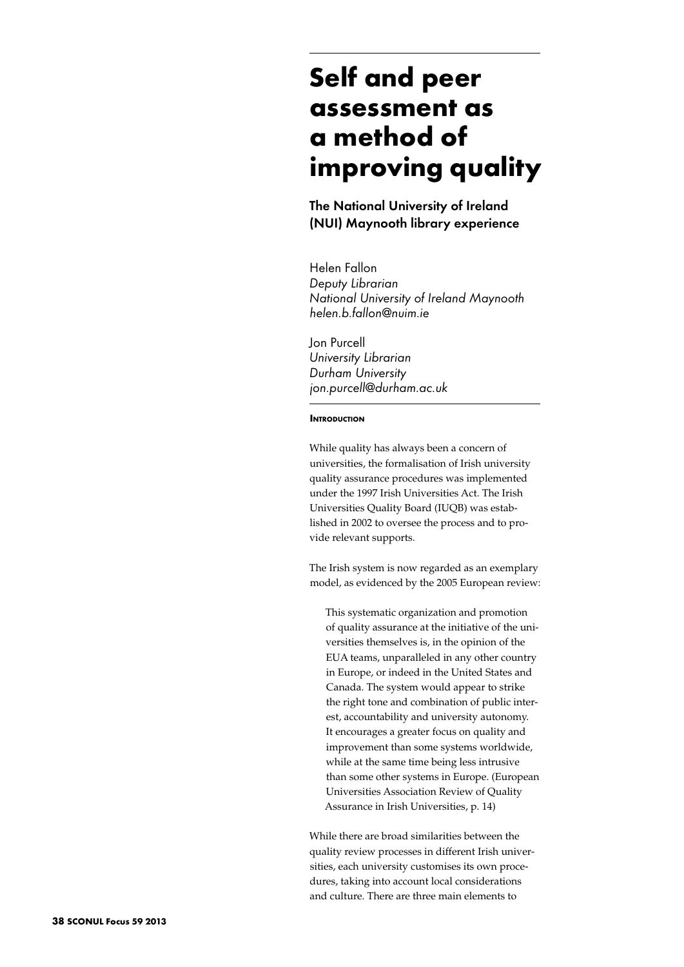# **Self and peer assessment as a method of improving quality**

The National University of Ireland (NUI) Maynooth library experience

Helen Fallon *Deputy Librarian National University of Ireland Maynooth helen.b.fallon@nuim.ie*

Jon Purcell *University Librarian Durham University jon.purcell@durham.ac.uk*

#### **INTRODUCTION**

While quality has always been a concern of universities, the formalisation of Irish university quality assurance procedures was implemented under the 1997 Irish Universities Act. The Irish Universities Quality Board (IUQB) was established in 2002 to oversee the process and to provide relevant supports.

The Irish system is now regarded as an exemplary model, as evidenced by the 2005 European review:

This systematic organization and promotion of quality assurance at the initiative of the universities themselves is, in the opinion of the EUA teams, unparalleled in any other country in Europe, or indeed in the United States and Canada. The system would appear to strike the right tone and combination of public interest, accountability and university autonomy. It encourages a greater focus on quality and improvement than some systems worldwide, while at the same time being less intrusive than some other systems in Europe. (European Universities Association Review of Quality Assurance in Irish Universities, p. 14)

While there are broad similarities between the quality review processes in different Irish universities, each university customises its own procedures, taking into account local considerations and culture. There are three main elements to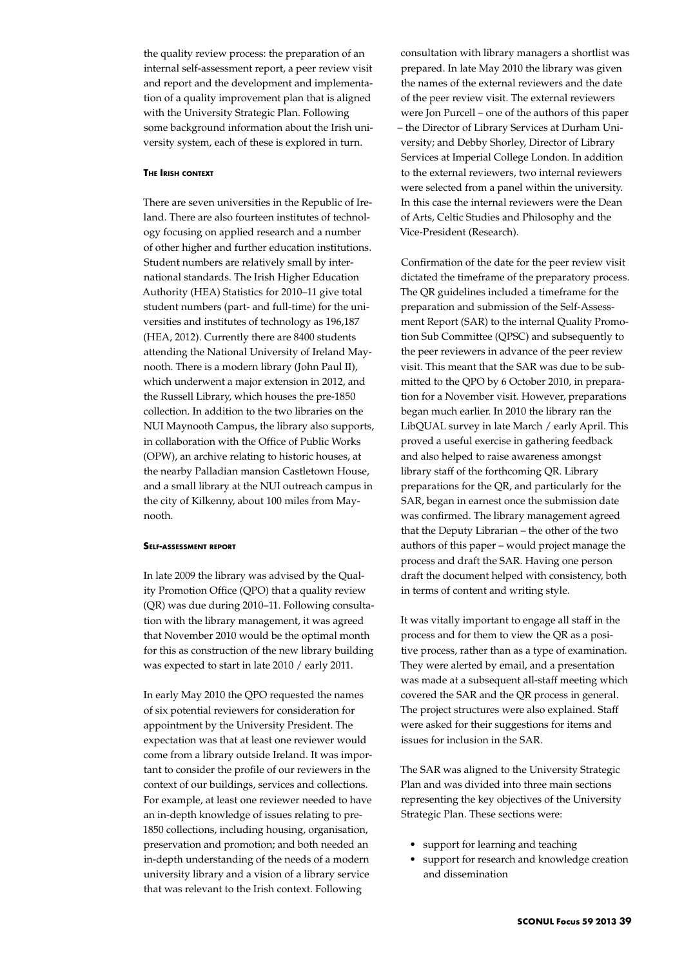the quality review process: the preparation of an internal self-assessment report, a peer review visit and report and the development and implementation of a quality improvement plan that is aligned with the University Strategic Plan. Following some background information about the Irish university system, each of these is explored in turn.

#### **The Irish context**

There are seven universities in the Republic of Ireland. There are also fourteen institutes of technology focusing on applied research and a number of other higher and further education institutions. Student numbers are relatively small by international standards. The Irish Higher Education Authority (HEA) Statistics for 2010–11 give total student numbers (part- and full-time) for the universities and institutes of technology as 196,187 (HEA, 2012). Currently there are 8400 students attending the National University of Ireland Maynooth. There is a modern library (John Paul II), which underwent a major extension in 2012, and the Russell Library, which houses the pre-1850 collection. In addition to the two libraries on the NUI Maynooth Campus, the library also supports, in collaboration with the Office of Public Works (OPW), an archive relating to historic houses, at the nearby Palladian mansion Castletown House, and a small library at the NUI outreach campus in the city of Kilkenny, about 100 miles from Maynooth.

## **Self-assessment report**

In late 2009 the library was advised by the Quality Promotion Office (QPO) that a quality review (QR) was due during 2010–11. Following consultation with the library management, it was agreed that November 2010 would be the optimal month for this as construction of the new library building was expected to start in late 2010 / early 2011.

In early May 2010 the QPO requested the names of six potential reviewers for consideration for appointment by the University President. The expectation was that at least one reviewer would come from a library outside Ireland. It was important to consider the profile of our reviewers in the context of our buildings, services and collections. For example, at least one reviewer needed to have an in-depth knowledge of issues relating to pre-1850 collections, including housing, organisation, preservation and promotion; and both needed an in-depth understanding of the needs of a modern university library and a vision of a library service that was relevant to the Irish context. Following

consultation with library managers a shortlist was prepared. In late May 2010 the library was given the names of the external reviewers and the date of the peer review visit. The external reviewers were Jon Purcell – one of the authors of this paper – the Director of Library Services at Durham University; and Debby Shorley, Director of Library Services at Imperial College London. In addition to the external reviewers, two internal reviewers were selected from a panel within the university. In this case the internal reviewers were the Dean of Arts, Celtic Studies and Philosophy and the Vice-President (Research).

Confirmation of the date for the peer review visit dictated the timeframe of the preparatory process. The QR guidelines included a timeframe for the preparation and submission of the Self-Assessment Report (SAR) to the internal Quality Promotion Sub Committee (QPSC) and subsequently to the peer reviewers in advance of the peer review visit. This meant that the SAR was due to be submitted to the QPO by 6 October 2010, in preparation for a November visit. However, preparations began much earlier. In 2010 the library ran the LibQUAL survey in late March / early April. This proved a useful exercise in gathering feedback and also helped to raise awareness amongst library staff of the forthcoming QR. Library preparations for the QR, and particularly for the SAR, began in earnest once the submission date was confirmed. The library management agreed that the Deputy Librarian – the other of the two authors of this paper – would project manage the process and draft the SAR. Having one person draft the document helped with consistency, both in terms of content and writing style.

It was vitally important to engage all staff in the process and for them to view the QR as a positive process, rather than as a type of examination. They were alerted by email, and a presentation was made at a subsequent all-staff meeting which covered the SAR and the QR process in general. The project structures were also explained. Staff were asked for their suggestions for items and issues for inclusion in the SAR.

The SAR was aligned to the University Strategic Plan and was divided into three main sections representing the key objectives of the University Strategic Plan. These sections were:

- support for learning and teaching
- • support for research and knowledge creation and dissemination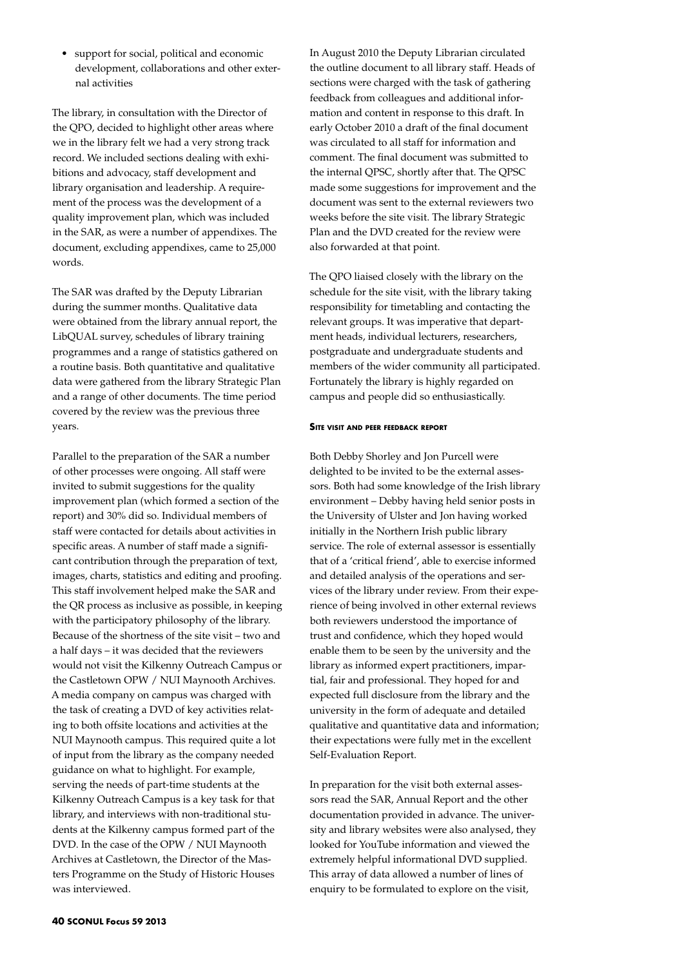• support for social, political and economic development, collaborations and other external activities

The library, in consultation with the Director of the QPO, decided to highlight other areas where we in the library felt we had a very strong track record. We included sections dealing with exhibitions and advocacy, staff development and library organisation and leadership. A requirement of the process was the development of a quality improvement plan, which was included in the SAR, as were a number of appendixes. The document, excluding appendixes, came to 25,000 words.

The SAR was drafted by the Deputy Librarian during the summer months. Qualitative data were obtained from the library annual report, the LibQUAL survey, schedules of library training programmes and a range of statistics gathered on a routine basis. Both quantitative and qualitative data were gathered from the library Strategic Plan and a range of other documents. The time period covered by the review was the previous three years.

Parallel to the preparation of the SAR a number of other processes were ongoing. All staff were invited to submit suggestions for the quality improvement plan (which formed a section of the report) and 30% did so. Individual members of staff were contacted for details about activities in specific areas. A number of staff made a significant contribution through the preparation of text, images, charts, statistics and editing and proofing. This staff involvement helped make the SAR and the QR process as inclusive as possible, in keeping with the participatory philosophy of the library. Because of the shortness of the site visit – two and a half days – it was decided that the reviewers would not visit the Kilkenny Outreach Campus or the Castletown OPW / NUI Maynooth Archives. A media company on campus was charged with the task of creating a DVD of key activities relating to both offsite locations and activities at the NUI Maynooth campus. This required quite a lot of input from the library as the company needed guidance on what to highlight. For example, serving the needs of part-time students at the Kilkenny Outreach Campus is a key task for that library, and interviews with non-traditional students at the Kilkenny campus formed part of the DVD. In the case of the OPW / NUI Maynooth Archives at Castletown, the Director of the Masters Programme on the Study of Historic Houses was interviewed.

In August 2010 the Deputy Librarian circulated the outline document to all library staff. Heads of sections were charged with the task of gathering feedback from colleagues and additional information and content in response to this draft. In early October 2010 a draft of the final document was circulated to all staff for information and comment. The final document was submitted to the internal QPSC, shortly after that. The QPSC made some suggestions for improvement and the document was sent to the external reviewers two weeks before the site visit. The library Strategic Plan and the DVD created for the review were also forwarded at that point.

The QPO liaised closely with the library on the schedule for the site visit, with the library taking responsibility for timetabling and contacting the relevant groups. It was imperative that department heads, individual lecturers, researchers, postgraduate and undergraduate students and members of the wider community all participated. Fortunately the library is highly regarded on campus and people did so enthusiastically.

## **Site visit and peer feedback report**

Both Debby Shorley and Jon Purcell were delighted to be invited to be the external assessors. Both had some knowledge of the Irish library environment – Debby having held senior posts in the University of Ulster and Jon having worked initially in the Northern Irish public library service. The role of external assessor is essentially that of a 'critical friend', able to exercise informed and detailed analysis of the operations and services of the library under review. From their experience of being involved in other external reviews both reviewers understood the importance of trust and confidence, which they hoped would enable them to be seen by the university and the library as informed expert practitioners, impartial, fair and professional. They hoped for and expected full disclosure from the library and the university in the form of adequate and detailed qualitative and quantitative data and information; their expectations were fully met in the excellent Self-Evaluation Report.

In preparation for the visit both external assessors read the SAR, Annual Report and the other documentation provided in advance. The university and library websites were also analysed, they looked for YouTube information and viewed the extremely helpful informational DVD supplied. This array of data allowed a number of lines of enquiry to be formulated to explore on the visit,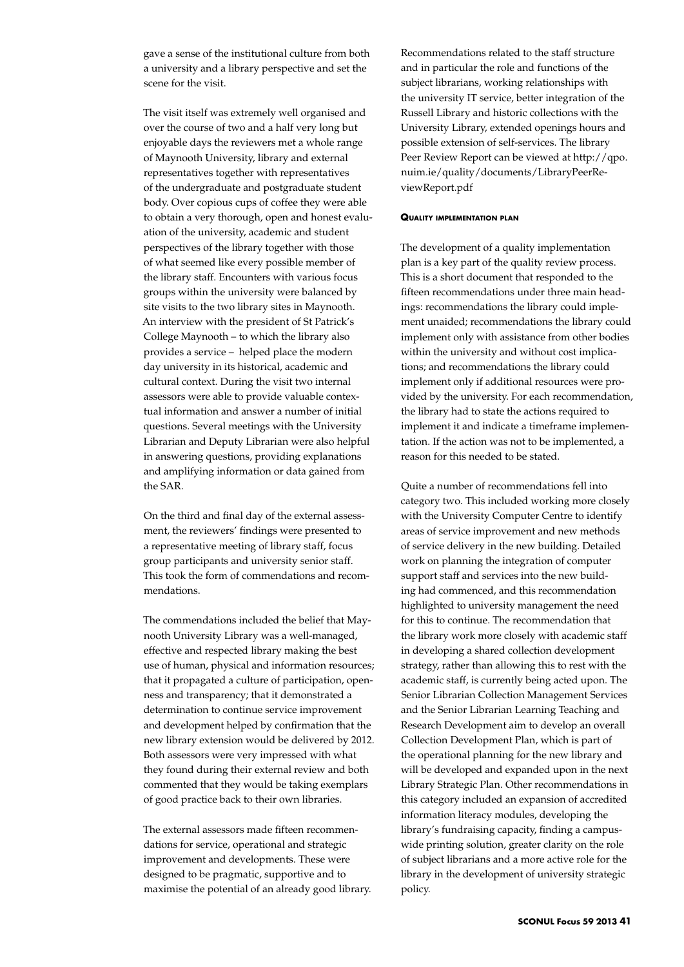gave a sense of the institutional culture from both a university and a library perspective and set the scene for the visit.

The visit itself was extremely well organised and over the course of two and a half very long but enjoyable days the reviewers met a whole range of Maynooth University, library and external representatives together with representatives of the undergraduate and postgraduate student body. Over copious cups of coffee they were able to obtain a very thorough, open and honest evaluation of the university, academic and student perspectives of the library together with those of what seemed like every possible member of the library staff. Encounters with various focus groups within the university were balanced by site visits to the two library sites in Maynooth. An interview with the president of St Patrick's College Maynooth – to which the library also provides a service – helped place the modern day university in its historical, academic and cultural context. During the visit two internal assessors were able to provide valuable contextual information and answer a number of initial questions. Several meetings with the University Librarian and Deputy Librarian were also helpful in answering questions, providing explanations and amplifying information or data gained from the SAR.

On the third and final day of the external assessment, the reviewers' findings were presented to a representative meeting of library staff, focus group participants and university senior staff. This took the form of commendations and recommendations.

The commendations included the belief that Maynooth University Library was a well-managed, effective and respected library making the best use of human, physical and information resources; that it propagated a culture of participation, openness and transparency; that it demonstrated a determination to continue service improvement and development helped by confirmation that the new library extension would be delivered by 2012. Both assessors were very impressed with what they found during their external review and both commented that they would be taking exemplars of good practice back to their own libraries.

The external assessors made fifteen recommendations for service, operational and strategic improvement and developments. These were designed to be pragmatic, supportive and to maximise the potential of an already good library.

Recommendations related to the staff structure and in particular the role and functions of the subject librarians, working relationships with the university IT service, better integration of the Russell Library and historic collections with the University Library, extended openings hours and possible extension of self-services. The library Peer Review Report can be viewed at http://qpo. nuim.ie/quality/documents/LibraryPeerReviewReport.pdf

#### **Quality implementation plan**

The development of a quality implementation plan is a key part of the quality review process. This is a short document that responded to the fifteen recommendations under three main headings: recommendations the library could implement unaided; recommendations the library could implement only with assistance from other bodies within the university and without cost implications; and recommendations the library could implement only if additional resources were provided by the university. For each recommendation, the library had to state the actions required to implement it and indicate a timeframe implementation. If the action was not to be implemented, a reason for this needed to be stated.

Quite a number of recommendations fell into category two. This included working more closely with the University Computer Centre to identify areas of service improvement and new methods of service delivery in the new building. Detailed work on planning the integration of computer support staff and services into the new building had commenced, and this recommendation highlighted to university management the need for this to continue. The recommendation that the library work more closely with academic staff in developing a shared collection development strategy, rather than allowing this to rest with the academic staff, is currently being acted upon. The Senior Librarian Collection Management Services and the Senior Librarian Learning Teaching and Research Development aim to develop an overall Collection Development Plan, which is part of the operational planning for the new library and will be developed and expanded upon in the next Library Strategic Plan. Other recommendations in this category included an expansion of accredited information literacy modules, developing the library's fundraising capacity, finding a campuswide printing solution, greater clarity on the role of subject librarians and a more active role for the library in the development of university strategic policy.